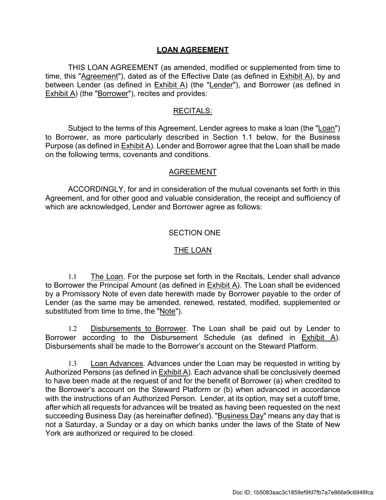## **LOAN AGREEMENT**

THIS LOAN AGREEMENT (as amended, modified or supplemented from time to time, this "Agreement"), dated as of the Effective Date (as defined in Exhibit A), by and between Lender (as defined in  $Exhibit A$ ) (the "Lender"), and Borrower (as defined in **Exhibit A)** (the "Borrower"), recites and provides:

### RECITALS:

Subject to the terms of this Agreement, Lender agrees to make a loan (the "Loan") to Borrower, as more particularly described in Section 1.1 below, for the Business Purpose (as defined in Exhibit A). Lender and Borrower agree that the Loan shall be made on the following terms, covenants and conditions.

#### AGREEMENT

ACCORDINGLY, for and in consideration of the mutual covenants set forth in this Agreement, and for other good and valuable consideration, the receipt and sufficiency of which are acknowledged, Lender and Borrower agree as follows:

### SECTION ONE

#### THE LOAN

1.1 The Loan. For the purpose set forth in the Recitals, Lender shall advance to Borrower the Principal Amount (as defined in Exhibit A). The Loan shall be evidenced by a Promissory Note of even date herewith made by Borrower payable to the order of Lender (as the same may be amended, renewed, restated, modified, supplemented or substituted from time to time, the "Note").

1.2 Disbursements to Borrower. The Loan shall be paid out by Lender to Borrower according to the Disbursement Schedule (as defined in Exhibit A). Disbursements shall be made to the Borrower's account on the Steward Platform.

1.3 Loan Advances. Advances under the Loan may be requested in writing by Authorized Persons (as defined in Exhibit A). Each advance shall be conclusively deemed to have been made at the request of and for the benefit of Borrower (a) when credited to the Borrower's account on the Steward Platform or (b) when advanced in accordance with the instructions of an Authorized Person. Lender, at its option, may set a cutoff time, after which all requests for advances will be treated as having been requested on the next succeeding Business Day (as hereinafter defined). "Business Day" means any day that is not a Saturday, a Sunday or a day on which banks under the laws of the State of New York are authorized or required to be closed.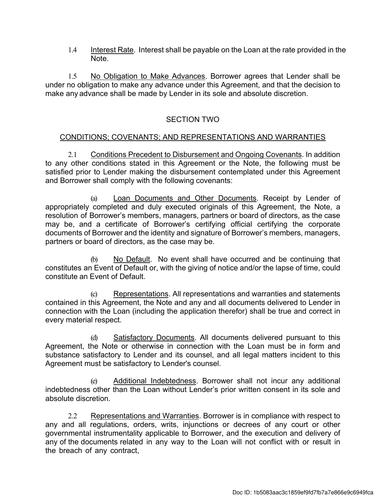1.4 Interest Rate. Interest shall be payable on the Loan at the rate provided in the Note.

1.5 No Obligation to Make Advances. Borrower agrees that Lender shall be under no obligation to make any advance under this Agreement, and that the decision to make any advance shall be made by Lender in its sole and absolute discretion.

## SECTION TWO

### CONDITIONS; COVENANTS; AND REPRESENTATIONS AND WARRANTIES

2.1 Conditions Precedent to Disbursement and Ongoing Covenants. In addition to any other conditions stated in this Agreement or the Note, the following must be satisfied prior to Lender making the disbursement contemplated under this Agreement and Borrower shall comply with the following covenants:

(a) Loan Documents and Other Documents. Receipt by Lender of appropriately completed and duly executed originals of this Agreement, the Note, a resolution of Borrower's members, managers, partners or board of directors, as the case may be, and a certificate of Borrower's certifying official certifying the corporate documents of Borrower and the identity and signature of Borrower's members, managers, partners or board of directors, as the case may be.

(b) No Default. No event shall have occurred and be continuing that constitutes an Event of Default or, with the giving of notice and/or the lapse of time, could constitute an Event of Default.

(c) Representations. All representations and warranties and statements contained in this Agreement, the Note and any and all documents delivered to Lender in connection with the Loan (including the application therefor) shall be true and correct in every material respect.

(d) Satisfactory Documents. All documents delivered pursuant to this Agreement, the Note or otherwise in connection with the Loan must be in form and substance satisfactory to Lender and its counsel, and all legal matters incident to this Agreement must be satisfactory to Lender's counsel.

(e) Additional Indebtedness. Borrower shall not incur any additional indebtedness other than the Loan without Lender's prior written consent in its sole and absolute discretion.

2.2 Representations and Warranties. Borrower is in compliance with respect to any and all regulations, orders, writs, injunctions or decrees of any court or other governmental instrumentality applicable to Borrower, and the execution and delivery of any of the documents related in any way to the Loan will not conflict with or result in the breach of any contract,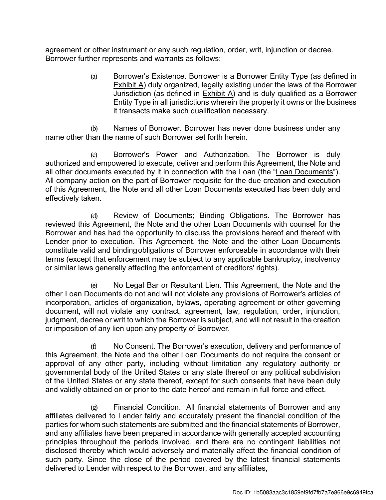agreement or other instrument or any such regulation, order, writ, injunction or decree. Borrower further represents and warrants as follows:

> (a) Borrower's Existence. Borrower is a Borrower Entity Type (as defined in Exhibit A) duly organized, legally existing under the laws of the Borrower Jurisdiction (as defined in  $Exhibit A$ ) and is duly qualified as a Borrower Entity Type in all jurisdictions wherein the property it owns or the business it transacts make such qualification necessary.

(b) Names of Borrower. Borrower has never done business under any name other than the name of such Borrower set forth herein.

(c) Borrower's Power and Authorization. The Borrower is duly authorized and empowered to execute, deliver and perform this Agreement, the Note and all other documents executed by it in connection with the Loan (the "Loan Documents"). All company action on the part of Borrower requisite for the due creation and execution of this Agreement, the Note and all other Loan Documents executed has been duly and effectively taken.

(d) Review of Documents; Binding Obligations. The Borrower has reviewed this Agreement, the Note and the other Loan Documents with counsel for the Borrower and has had the opportunity to discuss the provisions hereof and thereof with Lender prior to execution. This Agreement, the Note and the other Loan Documents constitute valid and binding obligations of Borrower enforceable in accordance with their terms (except that enforcement may be subject to any applicable bankruptcy, insolvency or similar laws generally affecting the enforcement of creditors' rights).

(e) No Legal Bar or Resultant Lien. This Agreement, the Note and the other Loan Documents do not and will not violate any provisions of Borrower's articles of incorporation, articles of organization, bylaws, operating agreement or other governing document, will not violate any contract, agreement, law, regulation, order, injunction, judgment, decree or writ to which the Borrower is subject, and will not result in the creation or imposition of any lien upon any property of Borrower.

(f) No Consent. The Borrower's execution, delivery and performance of this Agreement, the Note and the other Loan Documents do not require the consent or approval of any other party, including without limitation any regulatory authority or governmental body of the United States or any state thereof or any political subdivision of the United States or any state thereof, except for such consents that have been duly and validly obtained on or prior to the date hereof and remain in full force and effect.

(g) Financial Condition. All financial statements of Borrower and any affiliates delivered to Lender fairly and accurately present the financial condition of the parties for whom such statements are submitted and the financial statements of Borrower, and any affiliates have been prepared in accordance with generally accepted accounting principles throughout the periods involved, and there are no contingent liabilities not disclosed thereby which would adversely and materially affect the financial condition of such party. Since the close of the period covered by the latest financial statements delivered to Lender with respect to the Borrower, and any affiliates,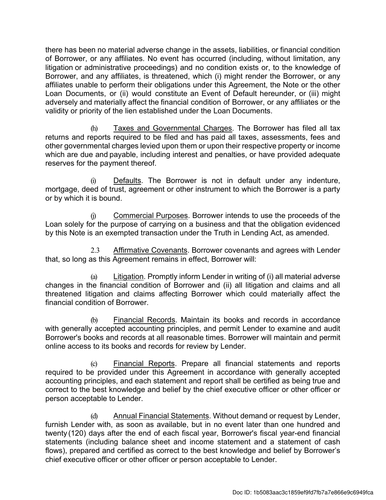there has been no material adverse change in the assets, liabilities, or financial condition of Borrower, or any affiliates. No event has occurred (including, without limitation, any litigation or administrative proceedings) and no condition exists or, to the knowledge of Borrower, and any affiliates, is threatened, which (i) might render the Borrower, or any affiliates unable to perform their obligations under this Agreement, the Note or the other Loan Documents, or (ii) would constitute an Event of Default hereunder, or (iii) might adversely and materially affect the financial condition of Borrower, or any affiliates or the validity or priority of the lien established under the Loan Documents.

(h) Taxes and Governmental Charges. The Borrower has filed all tax returns and reports required to be filed and has paid all taxes, assessments, fees and other governmental charges levied upon them or upon their respective property or income which are due and payable, including interest and penalties, or have provided adequate reserves for the payment thereof.

(i) Defaults. The Borrower is not in default under any indenture, mortgage, deed of trust, agreement or other instrument to which the Borrower is a party or by which it is bound.

(j) Commercial Purposes. Borrower intends to use the proceeds of the Loan solely for the purpose of carrying on a business and that the obligation evidenced by this Note is an exempted transaction under the Truth in Lending Act, as amended.

2.3 Affirmative Covenants. Borrower covenants and agrees with Lender that, so long as this Agreement remains in effect, Borrower will:

Litigation. Promptly inform Lender in writing of (i) all material adverse changes in the financial condition of Borrower and (ii) all litigation and claims and all threatened litigation and claims affecting Borrower which could materially affect the financial condition of Borrower.

(b) Financial Records. Maintain its books and records in accordance with generally accepted accounting principles, and permit Lender to examine and audit Borrower's books and records at all reasonable times. Borrower will maintain and permit online access to its books and records for review by Lender.

(c) Financial Reports. Prepare all financial statements and reports required to be provided under this Agreement in accordance with generally accepted accounting principles, and each statement and report shall be certified as being true and correct to the best knowledge and belief by the chief executive officer or other officer or person acceptable to Lender.

(d) Annual Financial Statements. Without demand or request by Lender, furnish Lender with, as soon as available, but in no event later than one hundred and twenty (120) days after the end of each fiscal year, Borrower's fiscal year-end financial statements (including balance sheet and income statement and a statement of cash flows), prepared and certified as correct to the best knowledge and belief by Borrower's chief executive officer or other officer or person acceptable to Lender.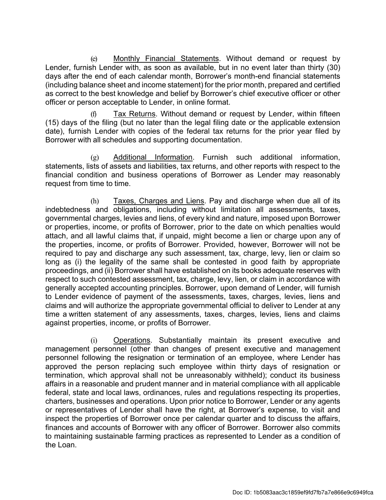(e) Monthly Financial Statements. Without demand or request by Lender, furnish Lender with, as soon as available, but in no event later than thirty (30) days after the end of each calendar month, Borrower's month-end financial statements (including balance sheet and income statement) for the prior month, prepared and certified as correct to the best knowledge and belief by Borrower's chief executive officer or other officer or person acceptable to Lender, in online format.

Tax Returns. Without demand or request by Lender, within fifteen (15) days of the filing (but no later than the legal filing date or the applicable extension date), furnish Lender with copies of the federal tax returns for the prior year filed by Borrower with all schedules and supporting documentation.

(g) Additional Information. Furnish such additional information, statements, lists of assets and liabilities, tax returns, and other reports with respect to the financial condition and business operations of Borrower as Lender may reasonably request from time to time.

(h) Taxes, Charges and Liens. Pay and discharge when due all of its indebtedness and obligations, including without limitation all assessments, taxes, governmental charges, levies and liens, of every kind and nature, imposed upon Borrower or properties, income, or profits of Borrower, prior to the date on which penalties would attach, and all lawful claims that, if unpaid, might become a lien or charge upon any of the properties, income, or profits of Borrower. Provided, however, Borrower will not be required to pay and discharge any such assessment, tax, charge, levy, lien or claim so long as (i) the legality of the same shall be contested in good faith by appropriate proceedings, and (ii) Borrower shall have established on its books adequate reserves with respect to such contested assessment, tax, charge, levy, lien, or claim in accordance with generally accepted accounting principles. Borrower, upon demand of Lender, will furnish to Lender evidence of payment of the assessments, taxes, charges, levies, liens and claims and will authorize the appropriate governmental official to deliver to Lender at any time a written statement of any assessments, taxes, charges, levies, liens and claims against properties, income, or profits of Borrower.

(i) Operations. Substantially maintain its present executive and management personnel (other than changes of present executive and management personnel following the resignation or termination of an employee, where Lender has approved the person replacing such employee within thirty days of resignation or termination, which approval shall not be unreasonably withheld); conduct its business affairs in a reasonable and prudent manner and in material compliance with all applicable federal, state and local laws, ordinances, rules and regulations respecting its properties, charters, businesses and operations. Upon prior notice to Borrower, Lender or any agents or representatives of Lender shall have the right, at Borrower's expense, to visit and inspect the properties of Borrower once per calendar quarter and to discuss the affairs, finances and accounts of Borrower with any officer of Borrower. Borrower also commits to maintaining sustainable farming practices as represented to Lender as a condition of the Loan.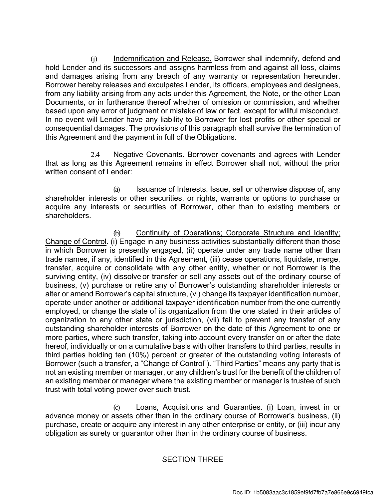(j) Indemnification and Release. Borrower shall indemnify, defend and hold Lender and its successors and assigns harmless from and against all loss, claims and damages arising from any breach of any warranty or representation hereunder. Borrower hereby releases and exculpates Lender, its officers, employees and designees, from any liability arising from any acts under this Agreement, the Note, or the other Loan Documents, or in furtherance thereof whether of omission or commission, and whether based upon any error of judgment or mistake of law or fact, except for willful misconduct. In no event will Lender have any liability to Borrower for lost profits or other special or consequential damages. The provisions of this paragraph shall survive the termination of this Agreement and the payment in full of the Obligations.

2.4 Negative Covenants. Borrower covenants and agrees with Lender that as long as this Agreement remains in effect Borrower shall not, without the prior written consent of Lender:

(a) Issuance of Interests. Issue, sell or otherwise dispose of, any shareholder interests or other securities, or rights, warrants or options to purchase or acquire any interests or securities of Borrower, other than to existing members or shareholders.

(b) Continuity of Operations; Corporate Structure and Identity; Change of Control. (i) Engage in any business activities substantially different than those in which Borrower is presently engaged, (ii) operate under any trade name other than trade names, if any, identified in this Agreement, (iii) cease operations, liquidate, merge, transfer, acquire or consolidate with any other entity, whether or not Borrower is the surviving entity, (iv) dissolve or transfer or sell any assets out of the ordinary course of business, (v) purchase or retire any of Borrower's outstanding shareholder interests or alter or amend Borrower's capital structure, (vi) change its taxpayer identification number, operate under another or additional taxpayer identification number from the one currently employed, or change the state of its organization from the one stated in their articles of organization to any other state or jurisdiction, (vii) fail to prevent any transfer of any outstanding shareholder interests of Borrower on the date of this Agreement to one or more parties, where such transfer, taking into account every transfer on or after the date hereof, individually or on a cumulative basis with other transfers to third parties, results in third parties holding ten (10%) percent or greater of the outstanding voting interests of Borrower (such a transfer, a "Change of Control"). "Third Parties" means any party that is not an existing member or manager, or any children's trust for the benefit of the children of an existing member or manager where the existing member or manager is trustee of such trust with total voting power over such trust.

(c) Loans, Acquisitions and Guaranties. (i) Loan, invest in or advance money or assets other than in the ordinary course of Borrower's business, (ii) purchase, create or acquire any interest in any other enterprise or entity, or (iii) incur any obligation as surety or guarantor other than in the ordinary course of business.

## SECTION THREE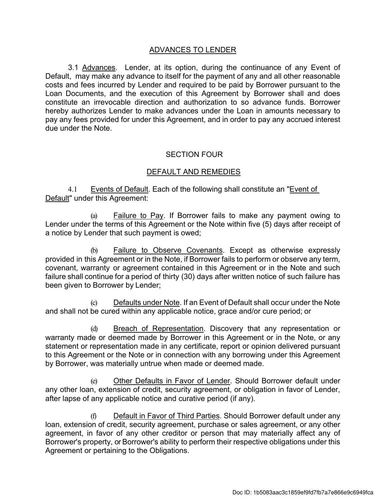### ADVANCES TO LENDER

3.1 Advances. Lender, at its option, during the continuance of any Event of Default, may make any advance to itself for the payment of any and all other reasonable costs and fees incurred by Lender and required to be paid by Borrower pursuant to the Loan Documents, and the execution of this Agreement by Borrower shall and does constitute an irrevocable direction and authorization to so advance funds. Borrower hereby authorizes Lender to make advances under the Loan in amounts necessary to pay any fees provided for under this Agreement, and in order to pay any accrued interest due under the Note.

## SECTION FOUR

### DEFAULT AND REMEDIES

4.1 Events of Default. Each of the following shall constitute an "Event of Default" under this Agreement:

(a) Failure to Pay. If Borrower fails to make any payment owing to Lender under the terms of this Agreement or the Note within five (5) days after receipt of a notice by Lender that such payment is owed;

(b) Failure to Observe Covenants. Except as otherwise expressly provided in this Agreement or in the Note, if Borrower fails to perform or observe any term, covenant, warranty or agreement contained in this Agreement or in the Note and such failure shall continue for a period of thirty (30) days after written notice of such failure has been given to Borrower by Lender;

Defaults under Note. If an Event of Default shall occur under the Note and shall not be cured within any applicable notice, grace and/or cure period; or

(d) Breach of Representation. Discovery that any representation or warranty made or deemed made by Borrower in this Agreement or in the Note, or any statement or representation made in any certificate, report or opinion delivered pursuant to this Agreement or the Note or in connection with any borrowing under this Agreement by Borrower, was materially untrue when made or deemed made.

(e) Other Defaults in Favor of Lender. Should Borrower default under any other loan, extension of credit, security agreement, or obligation in favor of Lender, after lapse of any applicable notice and curative period (if any).

(f) Default in Favor of Third Parties. Should Borrower default under any loan, extension of credit, security agreement, purchase or sales agreement, or any other agreement, in favor of any other creditor or person that may materially affect any of Borrower's property, or Borrower's ability to perform their respective obligations under this Agreement or pertaining to the Obligations.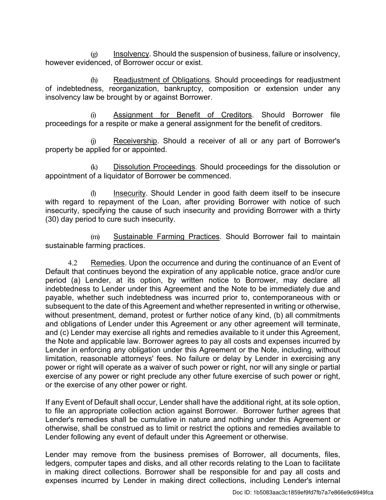$\circ$  Insolvency. Should the suspension of business, failure or insolvency, however evidenced, of Borrower occur or exist.

(h) Readjustment of Obligations. Should proceedings for readjustment of indebtedness, reorganization, bankruptcy, composition or extension under any insolvency law be brought by or against Borrower.

(i) Assignment for Benefit of Creditors. Should Borrower file proceedings for a respite or make a general assignment for the benefit of creditors.

(j) Receivership. Should a receiver of all or any part of Borrower's property be applied for or appointed.

(k) Dissolution Proceedings. Should proceedings for the dissolution or appointment of a liquidator of Borrower be commenced.

(l) Insecurity. Should Lender in good faith deem itself to be insecure with regard to repayment of the Loan, after providing Borrower with notice of such insecurity, specifying the cause of such insecurity and providing Borrower with a thirty (30) day period to cure such insecurity.

(m) Sustainable Farming Practices. Should Borrower fail to maintain sustainable farming practices.

4.2 Remedies. Upon the occurrence and during the continuance of an Event of Default that continues beyond the expiration of any applicable notice, grace and/or cure period (a) Lender, at its option, by written notice to Borrower, may declare all indebtedness to Lender under this Agreement and the Note to be immediately due and payable, whether such indebtedness was incurred prior to, contemporaneous with or subsequent to the date of this Agreement and whether represented in writing or otherwise, without presentment, demand, protest or further notice of any kind, (b) all commitments and obligations of Lender under this Agreement or any other agreement will terminate, and (c) Lender may exercise all rights and remedies available to it under this Agreement, the Note and applicable law. Borrower agrees to pay all costs and expenses incurred by Lender in enforcing any obligation under this Agreement or the Note, including, without limitation, reasonable attorneys' fees. No failure or delay by Lender in exercising any power or right will operate as a waiver of such power or right, nor will any single or partial exercise of any power or right preclude any other future exercise of such power or right, or the exercise of any other power or right.

If any Event of Default shall occur, Lender shall have the additional right, at its sole option, to file an appropriate collection action against Borrower. Borrower further agrees that Lender's remedies shall be cumulative in nature and nothing under this Agreement or otherwise, shall be construed as to limit or restrict the options and remedies available to Lender following any event of default under this Agreement or otherwise.

Lender may remove from the business premises of Borrower, all documents, files, ledgers, computer tapes and disks, and all other records relating to the Loan to facilitate in making direct collections. Borrower shall be responsible for and pay all costs and expenses incurred by Lender in making direct collections, including Lender's internal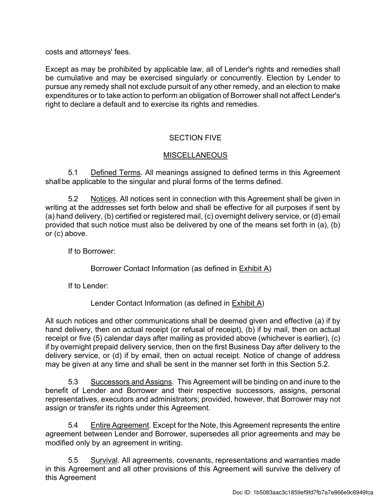costs and attorneys' fees.

Except as may be prohibited by applicable law, all of Lender's rights and remedies shall be cumulative and may be exercised singularly or concurrently. Election by Lender to pursue any remedy shall not exclude pursuit of any other remedy, and an election to make expenditures or to take action to perform an obligation of Borrower shall not affect Lender's right to declare a default and to exercise its rights and remedies.

## SECTION FIVE

## MISCELLANEOUS

5.1 Defined Terms. All meanings assigned to defined terms in this Agreement shall be applicable to the singular and plural forms of the terms defined.

5.2 Notices. All notices sent in connection with this Agreement shall be given in writing at the addresses set forth below and shall be effective for all purposes if sent by (a) hand delivery, (b) certified or registered mail, (c) overnight delivery service, or (d) email provided that such notice must also be delivered by one of the means set forth in (a), (b) or (c) above.

If to Borrower:

Borrower Contact Information (as defined in Exhibit A)

If to Lender:

Lender Contact Information (as defined in Exhibit A)

All such notices and other communications shall be deemed given and effective (a) if by hand delivery, then on actual receipt (or refusal of receipt), (b) if by mail, then on actual receipt or five (5) calendar days after mailing as provided above (whichever is earlier), (c) if by overnight prepaid delivery service, then on the first Business Day after delivery to the delivery service, or (d) if by email, then on actual receipt. Notice of change of address may be given at any time and shall be sent in the manner set forth in this Section 5.2.

5.3 Successors and Assigns. This Agreement will be binding on and inure to the benefit of Lender and Borrower and their respective successors, assigns, personal representatives, executors and administrators; provided, however, that Borrower may not assign or transfer its rights under this Agreement.

5.4 Entire Agreement. Except for the Note, this Agreement represents the entire agreement between Lender and Borrower, supersedes all prior agreements and may be modified only by an agreement in writing.

5.5 Survival. All agreements, covenants, representations and warranties made in this Agreement and all other provisions of this Agreement will survive the delivery of this Agreement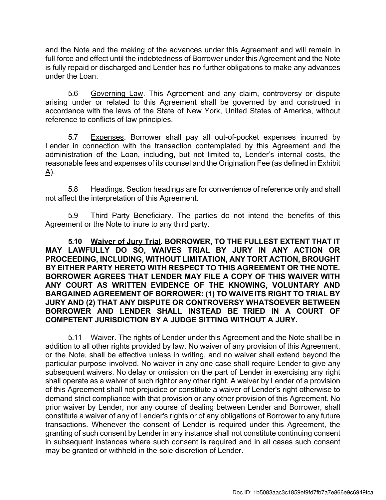and the Note and the making of the advances under this Agreement and will remain in full force and effect until the indebtedness of Borrower under this Agreement and the Note is fully repaid or discharged and Lender has no further obligations to make any advances under the Loan.

5.6 Governing Law. This Agreement and any claim, controversy or dispute arising under or related to this Agreement shall be governed by and construed in accordance with the laws of the State of New York, United States of America, without reference to conflicts of law principles.

5.7 Expenses. Borrower shall pay all out-of-pocket expenses incurred by Lender in connection with the transaction contemplated by this Agreement and the administration of the Loan, including, but not limited to, Lender's internal costs, the reasonable fees and expenses of its counsel and the Origination Fee (as defined in Exhibit  $\Delta$ ).

5.8 Headings. Section headings are for convenience of reference only and shall not affect the interpretation of this Agreement.

5.9 Third Party Beneficiary. The parties do not intend the benefits of this Agreement or the Note to inure to any third party.

**5.10 Waiver of Jury Trial. BORROWER, TO THE FULLEST EXTENT THAT IT MAY LAWFULLY DO SO, WAIVES TRIAL BY JURY IN ANY ACTION OR PROCEEDING, INCLUDING, WITHOUT LIMITATION, ANY TORT ACTION, BROUGHT BY EITHER PARTY HERETO WITH RESPECT TO THIS AGREEMENT OR THE NOTE. BORROWER AGREES THAT LENDER MAY FILE A COPY OF THIS WAIVER WITH ANY COURT AS WRITTEN EVIDENCE OF THE KNOWING, VOLUNTARY AND BARGAINED AGREEMENT OF BORROWER: (1) TO WAIVE ITS RIGHT TO TRIAL BY JURY AND (2) THAT ANY DISPUTE OR CONTROVERSY WHATSOEVER BETWEEN BORROWER AND LENDER SHALL INSTEAD BE TRIED IN A COURT OF COMPETENT JURISDICTION BY A JUDGE SITTING WITHOUT A JURY.** 

5.11 Waiver. The rights of Lender under this Agreement and the Note shall be in addition to all other rights provided by law. No waiver of any provision of this Agreement, or the Note, shall be effective unless in writing, and no waiver shall extend beyond the particular purpose involved. No waiver in any one case shall require Lender to give any subsequent waivers. No delay or omission on the part of Lender in exercising any right shall operate as a waiver of such rightor any other right. A waiver by Lender of a provision of this Agreement shall not prejudice or constitute a waiver of Lender's right otherwise to demand strict compliance with that provision or any other provision of this Agreement. No prior waiver by Lender, nor any course of dealing between Lender and Borrower, shall constitute a waiver of any of Lender's rights or of any obligations of Borrower to any future transactions. Whenever the consent of Lender is required under this Agreement, the granting of such consent by Lender in any instance shall not constitute continuing consent in subsequent instances where such consent is required and in all cases such consent may be granted or withheld in the sole discretion of Lender.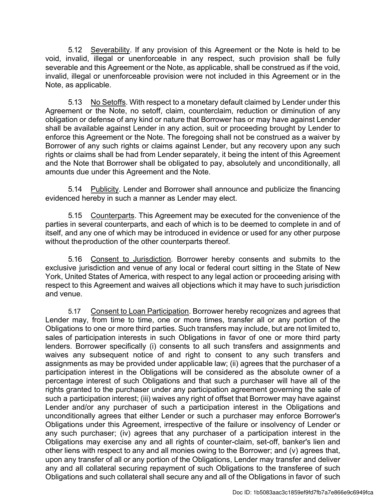5.12 Severability. If any provision of this Agreement or the Note is held to be void, invalid, illegal or unenforceable in any respect, such provision shall be fully severable and this Agreement or the Note, as applicable, shall be construed as if the void, invalid, illegal or unenforceable provision were not included in this Agreement or in the Note, as applicable.

5.13 No Setoffs. With respect to a monetary default claimed by Lender under this Agreement or the Note, no setoff, claim, counterclaim, reduction or diminution of any obligation or defense of any kind or nature that Borrower has or may have against Lender shall be available against Lender in any action, suit or proceeding brought by Lender to enforce this Agreement or the Note. The foregoing shall not be construed as a waiver by Borrower of any such rights or claims against Lender, but any recovery upon any such rights or claims shall be had from Lender separately, it being the intent of this Agreement and the Note that Borrower shall be obligated to pay, absolutely and unconditionally, all amounts due under this Agreement and the Note.

5.14 Publicity. Lender and Borrower shall announce and publicize the financing evidenced hereby in such a manner as Lender may elect.

5.15 Counterparts. This Agreement may be executed for the convenience of the parties in several counterparts, and each of which is to be deemed to complete in and of itself, and any one of which may be introduced in evidence or used for any other purpose without the production of the other counterparts thereof.

5.16 Consent to Jurisdiction. Borrower hereby consents and submits to the exclusive jurisdiction and venue of any local or federal court sitting in the State of New York, United States of America, with respect to any legal action or proceeding arising with respect to this Agreement and waives all objections which it may have to such jurisdiction and venue.

5.17 Consent to Loan Participation. Borrower hereby recognizes and agrees that Lender may, from time to time, one or more times, transfer all or any portion of the Obligations to one or more third parties. Such transfers may include, but are not limited to, sales of participation interests in such Obligations in favor of one or more third party lenders. Borrower specifically (i) consents to all such transfers and assignments and waives any subsequent notice of and right to consent to any such transfers and assignments as may be provided under applicable law; (ii) agrees that the purchaser of a participation interest in the Obligations will be considered as the absolute owner of a percentage interest of such Obligations and that such a purchaser will have all of the rights granted to the purchaser under any participation agreement governing the sale of such a participation interest; (iii) waives any right of offset that Borrower may have against Lender and/or any purchaser of such a participation interest in the Obligations and unconditionally agrees that either Lender or such a purchaser may enforce Borrower's Obligations under this Agreement, irrespective of the failure or insolvency of Lender or any such purchaser; (iv) agrees that any purchaser of a participation interest in the Obligations may exercise any and all rights of counter-claim, set-off, banker's lien and other liens with respect to any and all monies owing to the Borrower; and (v) agrees that, upon any transfer of all or any portion of the Obligations, Lender may transfer and deliver any and all collateral securing repayment of such Obligations to the transferee of such Obligations and such collateral shall secure any and all of the Obligations in favor of such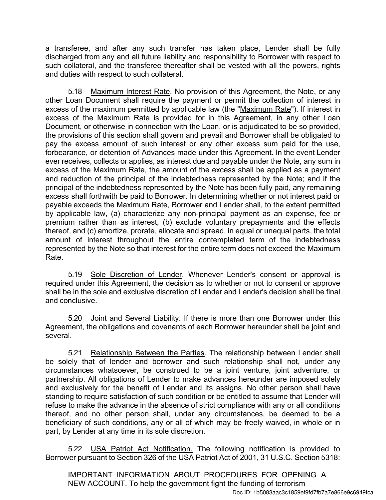a transferee, and after any such transfer has taken place, Lender shall be fully discharged from any and all future liability and responsibility to Borrower with respect to such collateral, and the transferee thereafter shall be vested with all the powers, rights and duties with respect to such collateral.

5.18 Maximum Interest Rate. No provision of this Agreement, the Note, or any other Loan Document shall require the payment or permit the collection of interest in excess of the maximum permitted by applicable law (the "Maximum Rate"). If interest in excess of the Maximum Rate is provided for in this Agreement, in any other Loan Document, or otherwise in connection with the Loan, or is adjudicated to be so provided, the provisions of this section shall govern and prevail and Borrower shall be obligated to pay the excess amount of such interest or any other excess sum paid for the use, forbearance, or detention of Advances made under this Agreement. In the event Lender ever receives, collects or applies, as interest due and payable under the Note, any sum in excess of the Maximum Rate, the amount of the excess shall be applied as a payment and reduction of the principal of the indebtedness represented by the Note; and if the principal of the indebtedness represented by the Note has been fully paid, any remaining excess shall forthwith be paid to Borrower. In determining whether or not interest paid or payable exceeds the Maximum Rate, Borrower and Lender shall, to the extent permitted by applicable law, (a) characterize any non-principal payment as an expense, fee or premium rather than as interest, (b) exclude voluntary prepayments and the effects thereof, and (c) amortize, prorate, allocate and spread, in equal or unequal parts, the total amount of interest throughout the entire contemplated term of the indebtedness represented by the Note so that interest for the entire term does not exceed the Maximum Rate.

5.19 Sole Discretion of Lender. Whenever Lender's consent or approval is required under this Agreement, the decision as to whether or not to consent or approve shall be in the sole and exclusive discretion of Lender and Lender's decision shall be final and conclusive.

5.20 Joint and Several Liability. If there is more than one Borrower under this Agreement, the obligations and covenants of each Borrower hereunder shall be joint and several.

5.21 Relationship Between the Parties. The relationship between Lender shall be solely that of lender and borrower and such relationship shall not, under any circumstances whatsoever, be construed to be a joint venture, joint adventure, or partnership. All obligations of Lender to make advances hereunder are imposed solely and exclusively for the benefit of Lender and its assigns. No other person shall have standing to require satisfaction of such condition or be entitled to assume that Lender will refuse to make the advance in the absence of strict compliance with any or all conditions thereof, and no other person shall, under any circumstances, be deemed to be a beneficiary of such conditions, any or all of which may be freely waived, in whole or in part, by Lender at any time in its sole discretion.

5.22 USA Patriot Act Notification. The following notification is provided to Borrower pursuant to Section 326 of the USA Patriot Act of 2001, 31 U.S.C. Section 5318:

IMPORTANT INFORMATION ABOUT PROCEDURES FOR OPENING A NEW ACCOUNT. To help the government fight the funding of terrorism Doc ID: 1b5083aac3c1859ef9fd7fb7a7e866e9c6949fca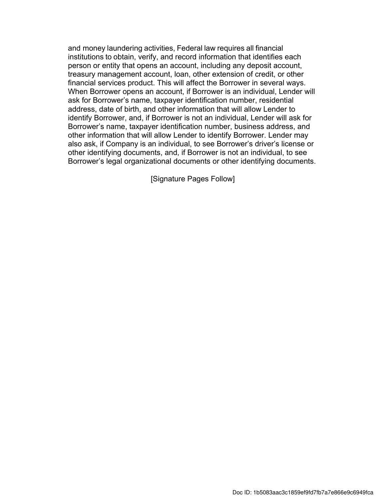and money laundering activities, Federal law requires all financial institutions to obtain, verify, and record information that identifies each person or entity that opens an account, including any deposit account, treasury management account, loan, other extension of credit, or other financial services product. This will affect the Borrower in several ways. When Borrower opens an account, if Borrower is an individual, Lender will ask for Borrower's name, taxpayer identification number, residential address, date of birth, and other information that will allow Lender to identify Borrower, and, if Borrower is not an individual, Lender will ask for Borrower's name, taxpayer identification number, business address, and other information that will allow Lender to identify Borrower. Lender may also ask, if Company is an individual, to see Borrower's driver's license or other identifying documents, and, if Borrower is not an individual, to see Borrower's legal organizational documents or other identifying documents.

[Signature Pages Follow]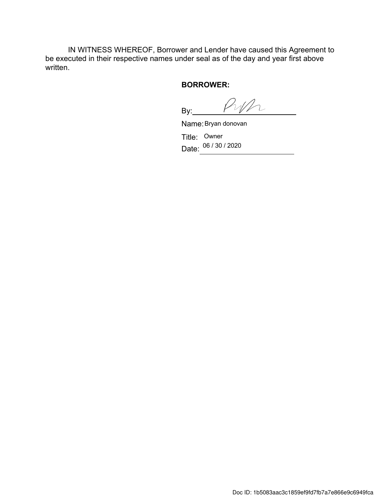IN WITNESS WHEREOF, Borrower and Lender have caused this Agreement to be executed in their respective names under seal as of the day and year first above written.

#### **BORROWER:**

Pyp  $By:$ 

Name: Bryan donovan

Title: Owner Date: <sup>06 / 30</sup> / 2020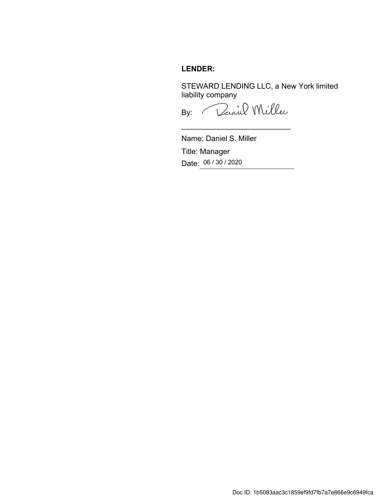## **LENDER:**

STEWARD LENDING LLC, a New York limited liability company

By: Daniel Miller

\_\_\_\_\_\_\_\_\_\_\_\_\_\_\_\_\_\_\_\_\_\_\_\_\_\_

Name: Daniel S. Miller Title: Manager Date: 06 / 30 / 2020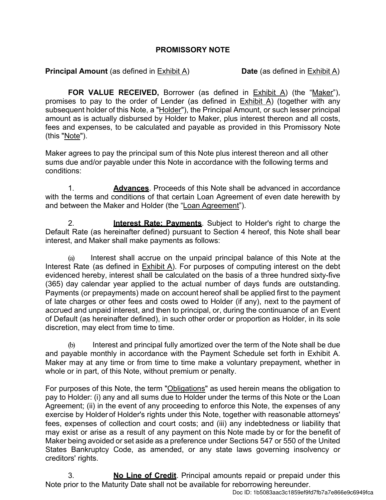## **PROMISSORY NOTE**

**Principal Amount** (as defined in Exhibit A) **Date** (as defined in Exhibit A)

**FOR VALUE RECEIVED,** Borrower (as defined in Exhibit A) (the "Maker"), promises to pay to the order of Lender (as defined in  $Exhibit A$ ) (together with any subsequent holder of this Note, a "Holder"), the Principal Amount, or such lesser principal amount as is actually disbursed by Holder to Maker, plus interest thereon and all costs, fees and expenses, to be calculated and payable as provided in this Promissory Note (this "Note").

Maker agrees to pay the principal sum of this Note plus interest thereon and all other sums due and/or payable under this Note in accordance with the following terms and conditions:

1. **Advances**. Proceeds of this Note shall be advanced in accordance with the terms and conditions of that certain Loan Agreement of even date herewith by and between the Maker and Holder (the "Loan Agreement").

2. **Interest Rate; Payments**. Subject to Holder's right to charge the Default Rate (as hereinafter defined) pursuant to Section 4 hereof, this Note shall bear interest, and Maker shall make payments as follows:

(a) Interest shall accrue on the unpaid principal balance of this Note at the Interest Rate (as defined in Exhibit A). For purposes of computing interest on the debt evidenced hereby, interest shall be calculated on the basis of a three hundred sixty-five (365) day calendar year applied to the actual number of days funds are outstanding. Payments (or prepayments) made on account hereof shall be applied first to the payment of late charges or other fees and costs owed to Holder (if any), next to the payment of accrued and unpaid interest, and then to principal, or, during the continuance of an Event of Default (as hereinafter defined), in such other order or proportion as Holder, in its sole discretion, may elect from time to time.

(b) Interest and principal fully amortized over the term of the Note shall be due and payable monthly in accordance with the Payment Schedule set forth in Exhibit A. Maker may at any time or from time to time make a voluntary prepayment, whether in whole or in part, of this Note, without premium or penalty.

For purposes of this Note, the term "Obligations" as used herein means the obligation to pay to Holder: (i) any and all sums due to Holder under the terms of this Note or the Loan Agreement; (ii) in the event of any proceeding to enforce this Note, the expenses of any exercise by Holder of Holder's rights under this Note, together with reasonable attorneys' fees, expenses of collection and court costs; and (iii) any indebtedness or liability that may exist or arise as a result of any payment on this Note made by or for the benefit of Maker being avoided or set aside as a preference under Sections 547 or 550 of the United States Bankruptcy Code, as amended, or any state laws governing insolvency or creditors' rights.

3. **No Line of Credit**. Principal amounts repaid or prepaid under this Note prior to the Maturity Date shall not be available for reborrowing hereunder.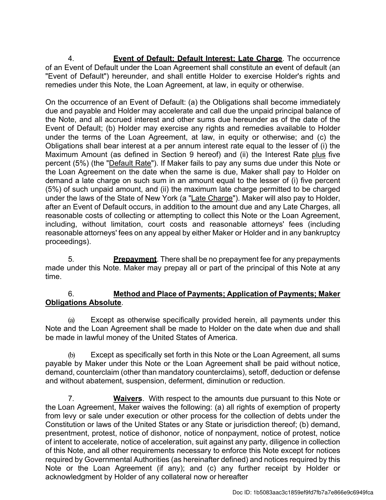4. **Event of Default; Default Interest; Late Charge**. The occurrence of an Event of Default under the Loan Agreement shall constitute an event of default (an "Event of Default") hereunder, and shall entitle Holder to exercise Holder's rights and remedies under this Note, the Loan Agreement, at law, in equity or otherwise.

On the occurrence of an Event of Default: (a) the Obligations shall become immediately due and payable and Holder may accelerate and call due the unpaid principal balance of the Note, and all accrued interest and other sums due hereunder as of the date of the Event of Default; (b) Holder may exercise any rights and remedies available to Holder under the terms of the Loan Agreement, at law, in equity or otherwise; and (c) the Obligations shall bear interest at a per annum interest rate equal to the lesser of (i) the Maximum Amount (as defined in Section 9 hereof) and (ii) the Interest Rate plus five percent (5%) (the "Default Rate"). If Maker fails to pay any sums due under this Note or the Loan Agreement on the date when the same is due, Maker shall pay to Holder on demand a late charge on such sum in an amount equal to the lesser of (i) five percent (5%) of such unpaid amount, and (ii) the maximum late charge permitted to be charged under the laws of the State of New York (a "Late Charge"). Maker will also pay to Holder, after an Event of Default occurs, in addition to the amount due and any Late Charges, all reasonable costs of collecting or attempting to collect this Note or the Loan Agreement, including, without limitation, court costs and reasonable attorneys' fees (including reasonable attorneys' fees on any appeal by either Maker or Holder and in any bankruptcy proceedings).

5. **Prepayment**. There shall be no prepayment fee for any prepayments made under this Note. Maker may prepay all or part of the principal of this Note at any time.

## 6. **Method and Place of Payments; Application of Payments; Maker Obligations Absolute**.

(a) Except as otherwise specifically provided herein, all payments under this Note and the Loan Agreement shall be made to Holder on the date when due and shall be made in lawful money of the United States of America.

(b) Except as specifically set forth in this Note or the Loan Agreement, all sums payable by Maker under this Note or the Loan Agreement shall be paid without notice, demand, counterclaim (other than mandatory counterclaims), setoff, deduction or defense and without abatement, suspension, deferment, diminution or reduction.

7. **Waivers**. With respect to the amounts due pursuant to this Note or the Loan Agreement, Maker waives the following: (a) all rights of exemption of property from levy or sale under execution or other process for the collection of debts under the Constitution or laws of the United States or any State or jurisdiction thereof; (b) demand, presentment, protest, notice of dishonor, notice of nonpayment, notice of protest, notice of intent to accelerate, notice of acceleration, suit against any party, diligence in collection of this Note, and all other requirements necessary to enforce this Note except for notices required by Governmental Authorities (as hereinafter defined) and notices required by this Note or the Loan Agreement (if any); and (c) any further receipt by Holder or acknowledgment by Holder of any collateral now or hereafter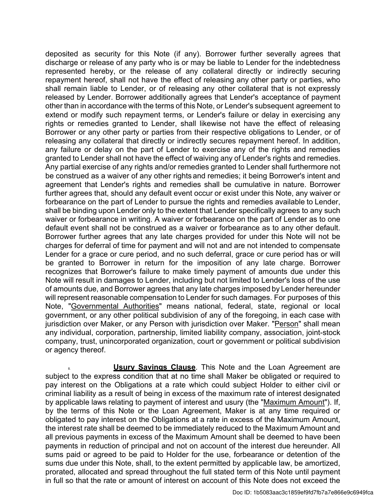deposited as security for this Note (if any). Borrower further severally agrees that discharge or release of any party who is or may be liable to Lender for the indebtedness represented hereby, or the release of any collateral directly or indirectly securing repayment hereof, shall not have the effect of releasing any other party or parties, who shall remain liable to Lender, or of releasing any other collateral that is not expressly released by Lender. Borrower additionally agrees that Lender's acceptance of payment other than in accordance with the terms of this Note, or Lender's subsequent agreement to extend or modify such repayment terms, or Lender's failure or delay in exercising any rights or remedies granted to Lender, shall likewise not have the effect of releasing Borrower or any other party or parties from their respective obligations to Lender, or of releasing any collateral that directly or indirectly secures repayment hereof. In addition, any failure or delay on the part of Lender to exercise any of the rights and remedies granted to Lender shall not have the effect of waiving any of Lender's rights and remedies. Any partial exercise of any rights and/or remedies granted to Lender shall furthermore not be construed as a waiver of any other rights and remedies; it being Borrower's intent and agreement that Lender's rights and remedies shall be cumulative in nature. Borrower further agrees that, should any default event occur or exist under this Note, any waiver or forbearance on the part of Lender to pursue the rights and remedies available to Lender, shall be binding upon Lender only to the extent that Lender specifically agrees to any such waiver or forbearance in writing. A waiver or forbearance on the part of Lender as to one default event shall not be construed as a waiver or forbearance as to any other default. Borrower further agrees that any late charges provided for under this Note will not be charges for deferral of time for payment and will not and are not intended to compensate Lender for a grace or cure period, and no such deferral, grace or cure period has or will be granted to Borrower in return for the imposition of any late charge. Borrower recognizes that Borrower's failure to make timely payment of amounts due under this Note will result in damages to Lender, including but not limited to Lender's loss of the use of amounts due, and Borrower agrees that any late charges imposed by Lender hereunder will represent reasonable compensation to Lender for such damages. For purposes of this Note, "Governmental Authorities" means national, federal, state, regional or local government, or any other political subdivision of any of the foregoing, in each case with jurisdiction over Maker, or any Person with jurisdiction over Maker. "Person" shall mean any individual, corporation, partnership, limited liability company, association, joint-stock company, trust, unincorporated organization, court or government or political subdivision or agency thereof.

**Usury Savings Clause**. This Note and the Loan Agreement are subject to the express condition that at no time shall Maker be obligated or required to pay interest on the Obligations at a rate which could subject Holder to either civil or criminal liability as a result of being in excess of the maximum rate of interest designated by applicable laws relating to payment of interest and usury (the "Maximum Amount"). If, by the terms of this Note or the Loan Agreement, Maker is at any time required or obligated to pay interest on the Obligations at a rate in excess of the Maximum Amount, the interest rate shall be deemed to be immediately reduced to the Maximum Amount and all previous payments in excess of the Maximum Amount shall be deemed to have been payments in reduction of principal and not on account of the interest due hereunder. All sums paid or agreed to be paid to Holder for the use, forbearance or detention of the sums due under this Note, shall, to the extent permitted by applicable law, be amortized, prorated, allocated and spread throughout the full stated term of this Note until payment in full so that the rate or amount of interest on account of this Note does not exceed the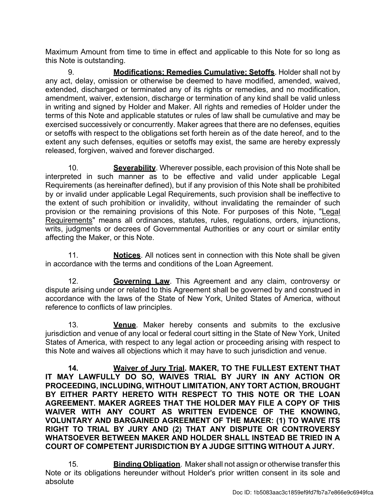Maximum Amount from time to time in effect and applicable to this Note for so long as this Note is outstanding.

9. **Modifications; Remedies Cumulative; Setoffs**. Holder shall not by any act, delay, omission or otherwise be deemed to have modified, amended, waived, extended, discharged or terminated any of its rights or remedies, and no modification, amendment, waiver, extension, discharge or termination of any kind shall be valid unless in writing and signed by Holder and Maker. All rights and remedies of Holder under the terms of this Note and applicable statutes or rules of law shall be cumulative and may be exercised successively or concurrently. Maker agrees that there are no defenses, equities or setoffs with respect to the obligations set forth herein as of the date hereof, and to the extent any such defenses, equities or setoffs may exist, the same are hereby expressly released, forgiven, waived and forever discharged.

10. **Severability**. Wherever possible, each provision of this Note shall be interpreted in such manner as to be effective and valid under applicable Legal Requirements (as hereinafter defined), but if any provision of this Note shall be prohibited by or invalid under applicable Legal Requirements, such provision shall be ineffective to the extent of such prohibition or invalidity, without invalidating the remainder of such provision or the remaining provisions of this Note. For purposes of this Note, "Legal Requirements" means all ordinances, statutes, rules, regulations, orders, injunctions, writs, judgments or decrees of Governmental Authorities or any court or similar entity affecting the Maker, or this Note.

11. **Notices**. All notices sent in connection with this Note shall be given in accordance with the terms and conditions of the Loan Agreement.

12. **Governing Law**. This Agreement and any claim, controversy or dispute arising under or related to this Agreement shall be governed by and construed in accordance with the laws of the State of New York, United States of America, without reference to conflicts of law principles.

13. **Venue**. Maker hereby consents and submits to the exclusive jurisdiction and venue of any local or federal court sitting in the State of New York, United States of America, with respect to any legal action or proceeding arising with respect to this Note and waives all objections which it may have to such jurisdiction and venue.

**14. Waiver of Jury Trial. MAKER, TO THE FULLEST EXTENT THAT IT MAY LAWFULLY DO SO, WAIVES TRIAL BY JURY IN ANY ACTION OR PROCEEDING, INCLUDING, WITHOUT LIMITATION, ANY TORT ACTION, BROUGHT BY EITHER PARTY HERETO WITH RESPECT TO THIS NOTE OR THE LOAN AGREEMENT. MAKER AGREES THAT THE HOLDER MAY FILE A COPY OF THIS WAIVER WITH ANY COURT AS WRITTEN EVIDENCE OF THE KNOWING, VOLUNTARY AND BARGAINED AGREEMENT OF THE MAKER: (1) TO WAIVE ITS RIGHT TO TRIAL BY JURY AND (2) THAT ANY DISPUTE OR CONTROVERSY WHATSOEVER BETWEEN MAKER AND HOLDER SHALL INSTEAD BE TRIED IN A COURT OF COMPETENT JURISDICTION BY A JUDGE SITTING WITHOUT A JURY.** 

15. **Binding Obligation**. Maker shall not assign or otherwise transfer this Note or its obligations hereunder without Holder's prior written consent in its sole and absolute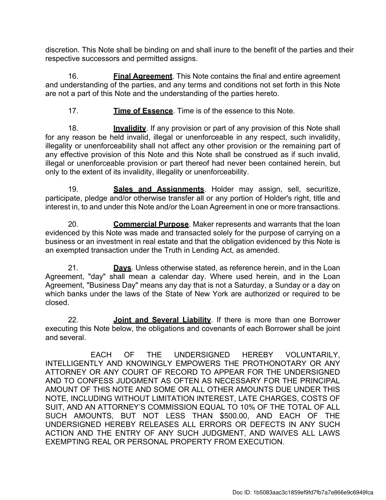discretion. This Note shall be binding on and shall inure to the benefit of the parties and their respective successors and permitted assigns.

16. **Final Agreement**. This Note contains the final and entire agreement and understanding of the parties, and any terms and conditions not set forth in this Note are not a part of this Note and the understanding of the parties hereto.

17. **Time of Essence**. Time is of the essence to this Note.

18. **Invalidity**. If any provision or part of any provision of this Note shall for any reason be held invalid, illegal or unenforceable in any respect, such invalidity, illegality or unenforceability shall not affect any other provision or the remaining part of any effective provision of this Note and this Note shall be construed as if such invalid, illegal or unenforceable provision or part thereof had never been contained herein, but only to the extent of its invalidity, illegality or unenforceability.

19. **Sales and Assignments**. Holder may assign, sell, securitize, participate, pledge and/or otherwise transfer all or any portion of Holder's right, title and interest in, to and under this Note and/or the Loan Agreement in one or more transactions.

20. **Commercial Purpose**. Maker represents and warrants that the loan evidenced by this Note was made and transacted solely for the purpose of carrying on a business or an investment in real estate and that the obligation evidenced by this Note is an exempted transaction under the Truth in Lending Act, as amended.

21. **Days**. Unless otherwise stated, as reference herein, and in the Loan Agreement, "day" shall mean a calendar day. Where used herein, and in the Loan Agreement, "Business Day" means any day that is not a Saturday, a Sunday or a day on which banks under the laws of the State of New York are authorized or required to be closed.

22. **Joint and Several Liability**. If there is more than one Borrower executing this Note below, the obligations and covenants of each Borrower shall be joint and several.

EACH OF THE UNDERSIGNED HEREBY VOLUNTARILY, INTELLIGENTLY AND KNOWINGLY EMPOWERS THE PROTHONOTARY OR ANY ATTORNEY OR ANY COURT OF RECORD TO APPEAR FOR THE UNDERSIGNED AND TO CONFESS JUDGMENT AS OFTEN AS NECESSARY FOR THE PRINCIPAL AMOUNT OF THIS NOTE AND SOME OR ALL OTHER AMOUNTS DUE UNDER THIS NOTE, INCLUDING WITHOUT LIMITATION INTEREST, LATE CHARGES, COSTS OF SUIT, AND AN ATTORNEY'S COMMISSION EQUAL TO 10% OF THE TOTAL OF ALL SUCH AMOUNTS, BUT NOT LESS THAN \$500.00, AND EACH OF THE UNDERSIGNED HEREBY RELEASES ALL ERRORS OR DEFECTS IN ANY SUCH ACTION AND THE ENTRY OF ANY SUCH JUDGMENT, AND WAIVES ALL LAWS EXEMPTING REAL OR PERSONAL PROPERTY FROM EXECUTION.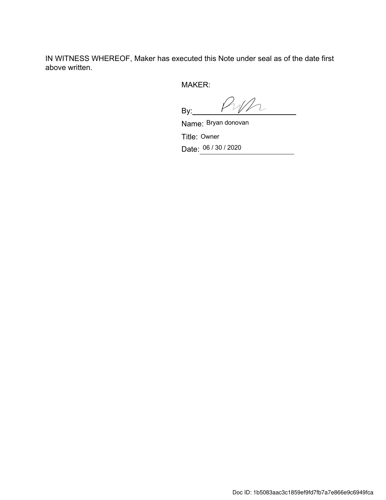IN WITNESS WHEREOF, Maker has executed this Note under seal as of the date first above written.

MAKER:

Pyp  $By:$ 

Name: Bryan donovan Title: Owner Date: 06 / 30 / 2020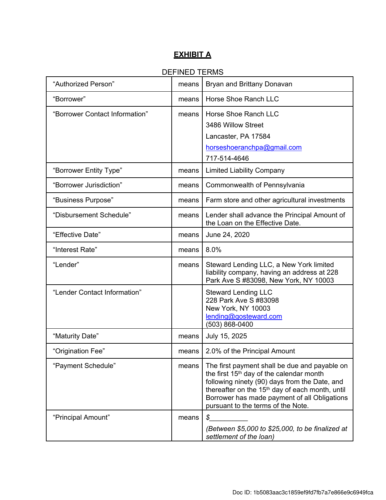## **EXHIBIT A**

## DEFINED TERMS

| "Authorized Person"            | means | Bryan and Brittany Donavan                                                                                                                                                                                                                                                                                  |
|--------------------------------|-------|-------------------------------------------------------------------------------------------------------------------------------------------------------------------------------------------------------------------------------------------------------------------------------------------------------------|
| "Borrower"                     | means | Horse Shoe Ranch LLC                                                                                                                                                                                                                                                                                        |
| "Borrower Contact Information" | means | Horse Shoe Ranch LLC<br>3486 Willow Street<br>Lancaster, PA 17584<br>horseshoeranchpa@gmail.com<br>717-514-4646                                                                                                                                                                                             |
| "Borrower Entity Type"         | means | <b>Limited Liability Company</b>                                                                                                                                                                                                                                                                            |
| "Borrower Jurisdiction"        | means | Commonwealth of Pennsylvania                                                                                                                                                                                                                                                                                |
| "Business Purpose"             | means | Farm store and other agricultural investments                                                                                                                                                                                                                                                               |
| "Disbursement Schedule"        | means | Lender shall advance the Principal Amount of<br>the Loan on the Effective Date.                                                                                                                                                                                                                             |
| "Effective Date"               | means | June 24, 2020                                                                                                                                                                                                                                                                                               |
| "Interest Rate"                | means | 8.0%                                                                                                                                                                                                                                                                                                        |
| "Lender"                       | means | Steward Lending LLC, a New York limited<br>liability company, having an address at 228<br>Park Ave S #83098, New York, NY 10003                                                                                                                                                                             |
| "Lender Contact Information"   |       | <b>Steward Lending LLC</b><br>228 Park Ave S #83098<br>New York, NY 10003<br>lending@gosteward.com<br>(503) 868-0400                                                                                                                                                                                        |
| "Maturity Date"                | means | July 15, 2025                                                                                                                                                                                                                                                                                               |
| "Origination Fee"              | means | 2.0% of the Principal Amount                                                                                                                                                                                                                                                                                |
| "Payment Schedule"             | means | The first payment shall be due and payable on<br>the first 15 <sup>th</sup> day of the calendar month<br>following ninety (90) days from the Date, and<br>thereafter on the 15 <sup>th</sup> day of each month, until<br>Borrower has made payment of all Obligations<br>pursuant to the terms of the Note. |
| "Principal Amount"             | means | \$<br>(Between \$5,000 to \$25,000, to be finalized at<br>settlement of the loan)                                                                                                                                                                                                                           |